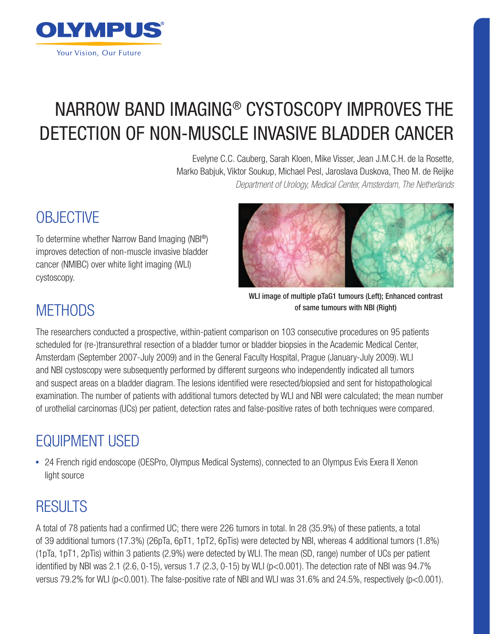

# NARROW BAND IMAGING® CYSTOSCOPY IMPROVES THE DETECTION OF NON-MUSCLE INVASIVE BLADDER CANCER

Evelyne C.C. Cauberg, Sarah Kloen, Mike Visser, Jean J.M.C.H. de la Rosette, Marko Babjuk, Viktor Soukup, Michael Pesl, Jaroslava Duskova, Theo M. de Reijke *Department of Urology, Medical Center, Amsterdam, The Netherlands*

## **OBJECTIVE**

To determine whether Narrow Band Imaging (NBI®) improves detection of non-muscle invasive bladder cancer (NMIBC) over white light imaging (WLI) cystoscopy.



WLI image of multiple pTaG1 tumours (Left); Enhanced contrast of same tumours with NBI (Right)

#### **METHODS**

The researchers conducted a prospective, within-patient comparison on 103 consecutive procedures on 95 patients scheduled for (re-)transurethral resection of a bladder tumor or bladder biopsies in the Academic Medical Center, Amsterdam (September 2007-July 2009) and in the General Faculty Hospital, Prague (January-July 2009). WLI and NBI cystoscopy were subsequently performed by different surgeons who independently indicated all tumors and suspect areas on a bladder diagram. The lesions identified were resected/biopsied and sent for histopathological examination. The number of patients with additional tumors detected by WLI and NBI were calculated; the mean number of urothelial carcinomas (UCs) per patient, detection rates and false-positive rates of both techniques were compared.

## EQUIPMENT USED

• 24 French rigid endoscope (OESPro, Olympus Medical Systems), connected to an Olympus Evis Exera II Xenon light source

### RESULTS

A total of 78 patients had a confirmed UC; there were 226 tumors in total. In 28 (35.9%) of these patients, a total of 39 additional tumors (17.3%) (26pTa, 6pT1, 1pT2, 6pTis) were detected by NBI, whereas 4 additional tumors (1.8%) (1pTa, 1pT1, 2pTis) within 3 patients (2.9%) were detected by WLI. The mean (SD, range) number of UCs per patient identified by NBI was 2.1 (2.6, 0-15), versus 1.7 (2.3, 0-15) by WLI (p<0.001). The detection rate of NBI was 94.7% versus 79.2% for WLI (p<0.001). The false-positive rate of NBI and WLI was 31.6% and 24.5%, respectively (p<0.001).